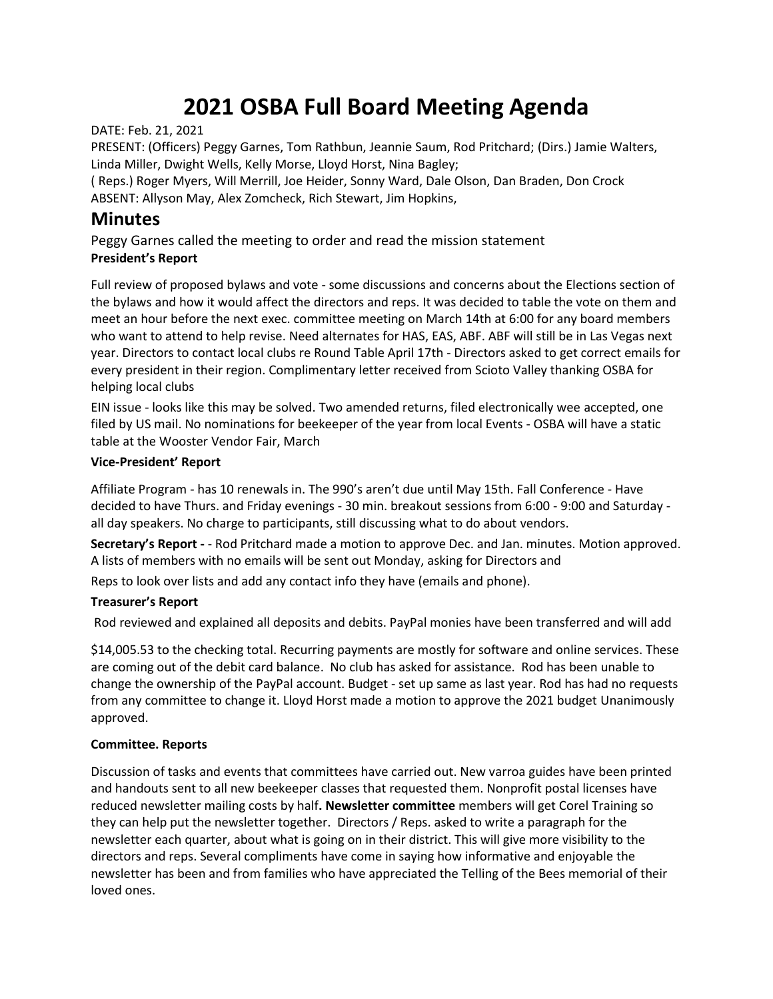# **2021 OSBA Full Board Meeting Agenda**

DATE: Feb. 21, 2021

PRESENT: (Officers) Peggy Garnes, Tom Rathbun, Jeannie Saum, Rod Pritchard; (Dirs.) Jamie Walters, Linda Miller, Dwight Wells, Kelly Morse, Lloyd Horst, Nina Bagley;

( Reps.) Roger Myers, Will Merrill, Joe Heider, Sonny Ward, Dale Olson, Dan Braden, Don Crock ABSENT: Allyson May, Alex Zomcheck, Rich Stewart, Jim Hopkins,

## **Minutes**

Peggy Garnes called the meeting to order and read the mission statement **President's Report**

Full review of proposed bylaws and vote - some discussions and concerns about the Elections section of the bylaws and how it would affect the directors and reps. It was decided to table the vote on them and meet an hour before the next exec. committee meeting on March 14th at 6:00 for any board members who want to attend to help revise. Need alternates for HAS, EAS, ABF. ABF will still be in Las Vegas next year. Directors to contact local clubs re Round Table April 17th - Directors asked to get correct emails for every president in their region. Complimentary letter received from Scioto Valley thanking OSBA for helping local clubs

EIN issue - looks like this may be solved. Two amended returns, filed electronically wee accepted, one filed by US mail. No nominations for beekeeper of the year from local Events - OSBA will have a static table at the Wooster Vendor Fair, March

### **Vice-President' Report**

Affiliate Program - has 10 renewals in. The 990's aren't due until May 15th. Fall Conference - Have decided to have Thurs. and Friday evenings - 30 min. breakout sessions from 6:00 - 9:00 and Saturday all day speakers. No charge to participants, still discussing what to do about vendors.

**Secretary's Report -** - Rod Pritchard made a motion to approve Dec. and Jan. minutes. Motion approved. A lists of members with no emails will be sent out Monday, asking for Directors and

Reps to look over lists and add any contact info they have (emails and phone).

### **Treasurer's Report**

Rod reviewed and explained all deposits and debits. PayPal monies have been transferred and will add

\$14,005.53 to the checking total. Recurring payments are mostly for software and online services. These are coming out of the debit card balance. No club has asked for assistance. Rod has been unable to change the ownership of the PayPal account. Budget - set up same as last year. Rod has had no requests from any committee to change it. Lloyd Horst made a motion to approve the 2021 budget Unanimously approved.

### **Committee. Reports**

Discussion of tasks and events that committees have carried out. New varroa guides have been printed and handouts sent to all new beekeeper classes that requested them. Nonprofit postal licenses have reduced newsletter mailing costs by half**. Newsletter committee** members will get Corel Training so they can help put the newsletter together. Directors / Reps. asked to write a paragraph for the newsletter each quarter, about what is going on in their district. This will give more visibility to the directors and reps. Several compliments have come in saying how informative and enjoyable the newsletter has been and from families who have appreciated the Telling of the Bees memorial of their loved ones.